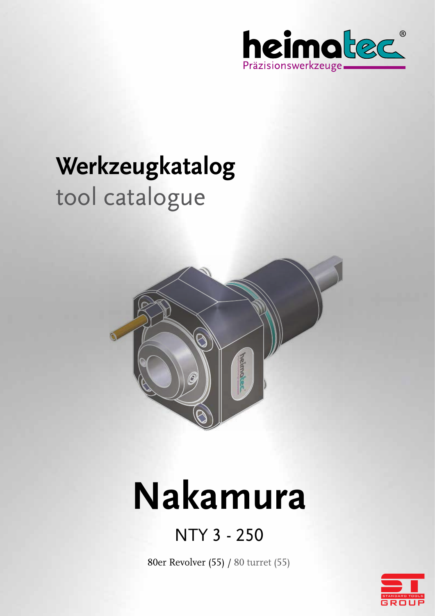

# **Werkzeugkatalog** tool catalogue



# **Nakamura**

# NTY 3 - 250

80er Revolver (55) / 80 turret (55)

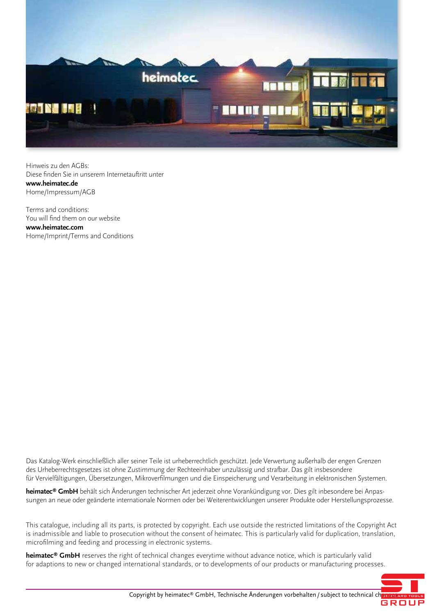

Hinweis zu den AGBs: Diese finden Sie in unserem Internetauftritt unter **www.heimatec.de** Home/Impressum/AGB

Terms and conditions: You will find them on our website **www.heimatec.com** Home/Imprint/Terms and Conditions

Das Katalog-Werk einschließlich aller seiner Teile ist urheberrechtlich geschützt. Jede Verwertung außerhalb der engen Grenzen des Urheberrechtsgesetzes ist ohne Zustimmung der Rechteeinhaber unzulässig und strafbar. Das gilt insbesondere für Vervielfältigungen, Übersetzungen, Mikroverfilmungen und die Einspeicherung und Verarbeitung in elektronischen Systemen.

**heimatec® GmbH** behält sich Änderungen technischer Art jederzeit ohne Vorankündigung vor. Dies gilt inbesondere bei Anpassungen an neue oder geänderte internationale Normen oder bei Weiterentwicklungen unserer Produkte oder Herstellungsprozesse.

This catalogue, including all its parts, is protected by copyright. Each use outside the restricted limitations of the Copyright Act is inadmissible and liable to prosecution without the consent of heimatec. This is particularly valid for duplication, translation, microfilming and feeding and processing in electronic systems.

**heimatec® GmbH** reserves the right of technical changes everytime without advance notice, which is particularly valid for adaptions to new or changed international standards, or to developments of our products or manufacturing processes.

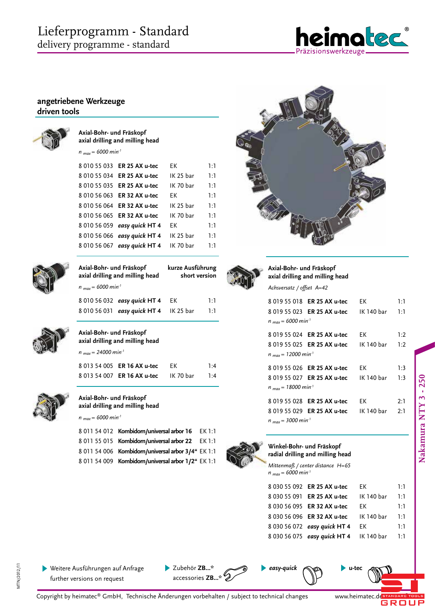# Lieferprogramm - Standard delivery programme - standard



### **angetriebene Werkzeuge driven tools**

| Axial-Bohr- und Fräskopf<br>$n_{max}$ = 6000 min <sup>-1</sup> | axial drilling and milling head       |                  |               |
|----------------------------------------------------------------|---------------------------------------|------------------|---------------|
| 801055033                                                      | ER 25 AX u-tec                        | EК               | 1:1           |
| 8 010 55 034                                                   | ER 25 AX u-tec                        | IK 25 bar        | 1:1           |
| 8 010 55 035                                                   | ER 25 AX u-tec                        | IK 70 bar        | 1:1           |
| 8 010 56 063                                                   | ER 32 AX u-tec                        | FK               | 1:1           |
| 801056064                                                      | ER 32 AX u-tec                        | IK 25 bar        | 1:1           |
| 801056065                                                      | ER 32 AX u-tec                        | IK 70 bar        | 1:1           |
| 8 010 56 059                                                   | easy quick HT 4                       | FK               | 1:1           |
| 801056066                                                      | easy quick HT 4                       | IK 25 bar        | 1:1           |
| 8 010 56 067                                                   | easy quick HT 4                       | IK 70 bar        | 1:1           |
| Axial-Bohr- und Fräskopf                                       | axial drilling and milling head       | kurze Ausführung | short version |
| $n_{max}$ = 6000 min <sup>-1</sup>                             |                                       |                  |               |
|                                                                | 8 010 56 032 easy quick HT 4          | EК               | 1:1           |
|                                                                | 8 010 56 031 easy quick HT 4          | IK 25 bar        | 1:1           |
| Axial-Bohr- und Fräskopf                                       | axial drilling and milling head       |                  |               |
| $n_{max}$ = 24000 min <sup>-1</sup>                            |                                       |                  |               |
|                                                                | 8 013 54 005 ER 16 AX u-tec           | EК               | 1:4           |
| 8 013 54 007                                                   | ER 16 AX u-tec                        | IK 70 bar        | 1:4           |
| Axial-Bohr- und Fräskopf                                       | axial drilling and milling head       |                  |               |
| $n_{max}$ = 6000 min <sup>-1</sup>                             |                                       |                  |               |
| 8 011 54 012                                                   | Kombidorn/universal arbor 16          |                  | EK 1:1        |
| 8 011 55 015                                                   | Kombidorn/universal arbor 22          |                  | EK 1:1        |
| 8 011 54 006                                                   | Kombidorn/universal arbor 3/4" EK 1:1 |                  |               |
| 8 011 54 009                                                   | Kombidorn/universal arbor 1/2" EK 1:1 |                  |               |
|                                                                |                                       |                  |               |





**Axial-Bohr- und Fräskopf axial drilling and milling head**

| Achsversatz / offset  A=42 |  |  |
|----------------------------|--|--|
|----------------------------|--|--|

|                                     | 8 019 55 018 ER 25 AX u-tec EK 1:1         |  |     |  |
|-------------------------------------|--------------------------------------------|--|-----|--|
|                                     | 8 019 55 023 ER 25 AX u-tec IK 140 bar 1:1 |  |     |  |
| $n_{max}$ = 6000 min <sup>-1</sup>  |                                            |  |     |  |
|                                     | 8 019 55 024 ER 25 AX u-tec EK 1:2         |  |     |  |
|                                     | 8 019 55 025 ER 25 AX u-tec IK 140 bar 1:2 |  |     |  |
| $n_{max}$ = 12000 min <sup>-1</sup> |                                            |  |     |  |
|                                     | 8 019 55 026 ER 25 AX u-tec EK 1:3         |  |     |  |
|                                     | 8 019 55 027 ER 25 AX u-tec IK 140 bar 1:3 |  |     |  |
| $n_{max}$ = 18000 min <sup>-1</sup> |                                            |  |     |  |
|                                     | 8 019 55 028 <b>ER 25 AX u-tec</b> EK      |  | 2:1 |  |
|                                     | 8 019 55 029 ER 25 AX u-tec IK 140 bar 2:1 |  |     |  |
| $n_{max}$ = 3000 min <sup>-1</sup>  |                                            |  |     |  |
|                                     |                                            |  |     |  |



**Winkel-Bohr- und Fräskopf radial drilling and milling head**

*Mittenmaß / center distance H=65 n max = 6000 min-1*

|  | 8 030 55 092 ER 25 AX u-tec             | FK.        | 1:1 |
|--|-----------------------------------------|------------|-----|
|  | 8 030 55 091 ER 25 AX u-tec             | IK 140 bar | 1:1 |
|  | 8 030 56 095 ER 32 AX u-tec             | FK.        | 1:1 |
|  | 8 030 56 096 ER 32 AX u-tec IK 140 bar  |            | 1:1 |
|  | 8 030 56 072 easy quick HT 4            | FK.        | 1:1 |
|  | 8 030 56 075 easy quick HT 4 IK 140 bar |            | 1:1 |

 $\phi \rightarrow \phi$ 

MTN/2012/11

MTN/2012/11



Copyright by heimatec® GmbH, Technische Änderungen vorbehalten / subject to technical changes accessories **ZB...\***

*easy-quick* **u-tec**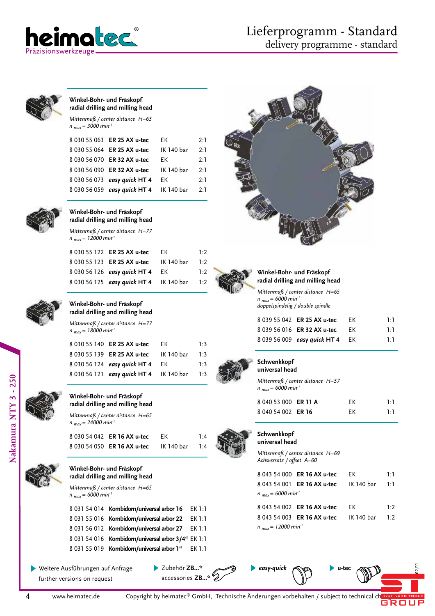



#### **Winkel-Bohr- und Fräskopf radial drilling and milling head**

*Mittenmaß / center distance H=65 n max = 3000 min-1*

| 8 030 55 063 ER 25 AX u-tec  | FK         | 2:1 |
|------------------------------|------------|-----|
| 8 030 55 064 ER 25 AX u-tec  | IK 140 bar | 2:1 |
| 8 030 56 070 ER 32 AX u-tec  | FK         | 2:1 |
| 8 030 56 090 ER 32 AX u-tec  | IK 140 bar | 2:1 |
| 8 030 56 073 easy quick HT 4 | FK         | 2:1 |
| 8 030 56 059 easy quick HT 4 | IK 140 bar | 2.1 |
|                              |            |     |



#### **Winkel-Bohr- und Fräskopf radial drilling and milling head**

*Mittenmaß / center distance H=77 n max = 12000 min-1*

|  | 8 030 55 122 ER 25 AX u-tec             | FK.        | 1:2 |
|--|-----------------------------------------|------------|-----|
|  | 8 030 55 123 ER 25 AX u-tec             | IK 140 bar | 1:2 |
|  | 8 030 56 126 easy quick HT 4            | EK         | 1:2 |
|  | 8 030 56 125 easy quick HT 4 IK 140 bar |            | 1:2 |
|  |                                         |            |     |



#### **Winkel-Bohr- und Fräskopf radial drilling and milling head**

*Mittenmaß / center distance H=77 n max = 18000 min-1*

| 8 030 55 140 ER 25 AX u-tec  | FK.        | 1:3                                     |
|------------------------------|------------|-----------------------------------------|
| 8 030 55 139 ER 25 AX u-tec  | IK 140 bar | 1:3                                     |
| 8 030 56 124 easy quick HT 4 | EK         | 1:3                                     |
|                              |            | 1:3                                     |
|                              |            | 8 030 56 121 easy quick HT 4 IK 140 bar |



#### **Winkel-Bohr- und Fräskopf radial drilling and milling head**

*Mittenmaß / center distance H=65 n max = 24000 min-1*

**Winkel-Bohr- und Fräskopf radial drilling and milling head** *Mittenmaß / center distance H=65* 

| 8 030 54 042 ER 16 AX u-tec | FK         | 1:4 |
|-----------------------------|------------|-----|
| 8 030 54 050 ER 16 AX u-tec | IK 140 bar | 1:4 |

8 031 54 014 **Kombidorn/universal arbor 16** EK 1:1 8 031 55 016 **Kombidorn/universal arbor 22** EK 1:1 8 031 56 012 **Kombidorn/universal arbor 27** EK 1:1 8 031 54 016 **Kombidorn/universal arbor 3/4"** EK 1:1





**Schwenkkopf universal head**

*n max = 6000 min-1*

#### **Schwenkkopf universal head**

*Mittenmaß / center distance H=69 Achsversatz / offset A=60*

*Mittenmaß / center distance H=57* 

**Winkel-Bohr- und Fräskopf radial drilling and milling head** *Mittenmaß / center distance H=65* 

*doppelspindelig / double spindle*

8 039 55 042 **ER 25 AX u-tec** EK 1:1 8 039 56 016 **ER 32 AX u-tec** EK 1:1 8 039 56 009 *easy quick* **HT 4** EK 1:1

8 040 53 000 **ER 11 A** EK 1:1 8 040 54 002 **ER 16** EK 1:1

*n max = 6000 min-1* 

*easy-quick* **u-tec**

|                                    | 8 043 54 000 ER 16 AX u-tec                       | FK. | ויו |
|------------------------------------|---------------------------------------------------|-----|-----|
|                                    | 8 043 54 001 <b>ER 16 AX u-tec</b> IK 140 bar 1:1 |     |     |
| $n_{max}$ = 6000 min <sup>-1</sup> |                                                   |     |     |
|                                    | 8 043 54 002 ER 16 AX u-tec                       | FK. | 1.2 |
|                                    | 8 043 54 003 <b>ER 16 AX u-tec</b> IK 140 bar 1:2 |     |     |

 $\blacksquare$ 

*n max = 12000 min-1*



*n max = 6000 min-1*

Weitere Ausführungen auf Anfrage further versions on request

Zubehör **ZB...\*** accessories **ZB...\***

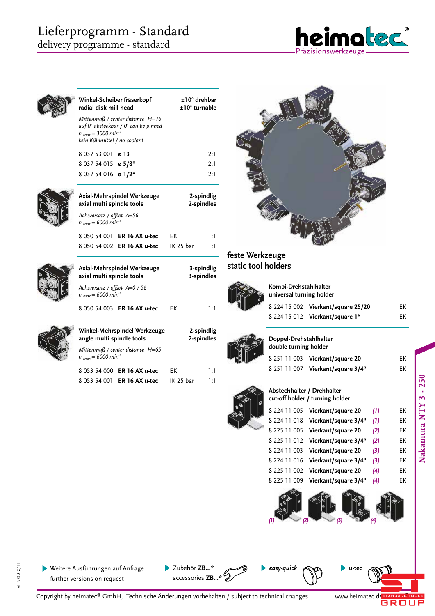

| Winkel-Scheibenfräserkopf<br>radial disk mill head                                                                                                 |  |           | $\pm 10^\circ$ drehbar<br>$±10°$ turnable |
|----------------------------------------------------------------------------------------------------------------------------------------------------|--|-----------|-------------------------------------------|
| Mittenmaß / center distance $H = 76$<br>auf 0° absteckbar / 0° can be pinned<br>$n_{max}$ = 3000 min <sup>-1</sup><br>kein Kühlmittel / no coolant |  |           |                                           |
| 8 037 53 001<br>ø 13                                                                                                                               |  |           | 2:1                                       |
| 8 037 54 015 ø 5/8"                                                                                                                                |  |           | 2:1                                       |
| 8 037 54 016 ø 1/2"                                                                                                                                |  |           | 2:1                                       |
| Axial-Mehrspindel Werkzeuge<br>axial multi spindle tools                                                                                           |  |           | 2-spindlig<br>2-spindles                  |
| Achsversatz / offset A=56<br>$n_{max}$ = 6000 min <sup>-1</sup>                                                                                    |  |           |                                           |
| 8 050 54 001<br>ER 16 AX u-tec                                                                                                                     |  | EК        | 1:1                                       |
| 8 050 54 002 ER 16 AX u-tec                                                                                                                        |  | IK 25 bar | 1:1                                       |
| Axial-Mehrspindel Werkzeuge<br>axial multi spindle tools                                                                                           |  |           | 3-spindlig<br>3-spindles                  |
| Achsversatz / offset A=0 / 56<br>$n_{max}$ = 6000 min <sup>-1</sup>                                                                                |  |           |                                           |
| 8 050 54 003 ER 16 AX u-tec                                                                                                                        |  | EК        | 1:1                                       |
| Winkel-Mehrspindel Werkzeuge<br>angle multi spindle tools                                                                                          |  |           | 2-spindlig<br>2-spindles                  |
| Mittenmaß / center distance H=65<br>$n_{max}$ = 6000 min <sup>-1</sup>                                                                             |  |           |                                           |
| 8 053 54 000<br>ER 16 AX u-tec                                                                                                                     |  | EК        | 1:1                                       |
| 8 053 54 001<br>ER 16 AX u-tec                                                                                                                     |  | IK 25 bar | 1:1                                       |



# **feste Werkzeuge static tool holders**



**Kombi-Drehstahlhalter universal turning holder** 

|  | 8 224 15 002 Vierkant/square 25/20 | EК |
|--|------------------------------------|----|
|  | 8 224 15 012 Vierkant/square 1"    | EК |



# **Doppel-Drehstahlhalter**

| double turning holder |                                   |    |  |  |
|-----------------------|-----------------------------------|----|--|--|
|                       | 8 251 11 003 Vierkant/square 20   | FK |  |  |
|                       | 8 251 11 007 Vierkant/square 3/4" | FK |  |  |
|                       |                                   |    |  |  |

**Abstechhalter / Drehhalter cut-off holder / turning holder**

|  | 8 224 11 005 Vierkant/square 20   | (1) | ЕK |
|--|-----------------------------------|-----|----|
|  | 8 224 11 018 Vierkant/square 3/4" | (1) | ЕK |
|  | 8 225 11 005 Vierkant/square 20   | (2) | EK |
|  | 8 225 11 012 Vierkant/square 3/4" | (2) | ЕK |
|  | 8 224 11 003 Vierkant/square 20   | (3) | ЕK |
|  | 8 224 11 016 Vierkant/square 3/4" | (3) | EK |
|  | 8 225 11 002 Vierkant/square 20   | (4) | ЕK |
|  | 8 225 11 009 Vierkant/square 3/4" | (4) | ЕK |
|  |                                   |     |    |



*easy-quick* **u-tec**



Weitere Ausführungen auf Anfrage further versions on request

Zubehör **ZB...\*** accessories **ZB...\***

Copyright by heimatec® GmbH, Technische Änderungen vorbehalten / subject to technical changes

www.heimatec.de STANDARD TOOLS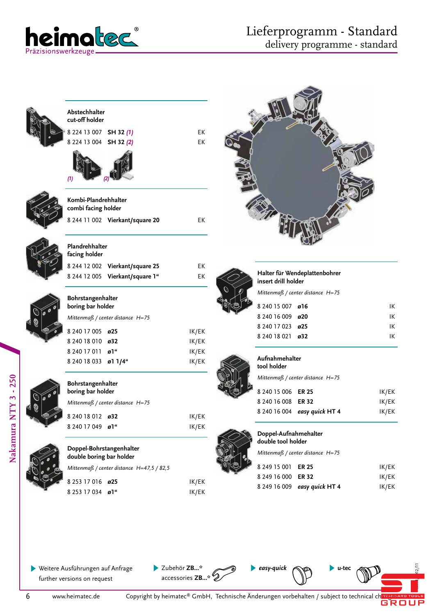

| Abstechhalter                                        |                                           |                |                                             |                                  |       |
|------------------------------------------------------|-------------------------------------------|----------------|---------------------------------------------|----------------------------------|-------|
| cut-off holder                                       |                                           |                |                                             |                                  |       |
| 8 224 13 007 SH 32 (1)                               |                                           | EK             |                                             |                                  |       |
| 8 224 13 004 SH 32 (2)                               |                                           | EK             |                                             |                                  |       |
| (1)                                                  |                                           |                |                                             |                                  |       |
| Kombi-Plandrehhalter<br>combi facing holder          |                                           |                |                                             |                                  |       |
|                                                      | 8 244 11 002 Vierkant/square 20           | EK             |                                             |                                  |       |
| Plandrehhalter<br>facing holder                      |                                           |                |                                             |                                  |       |
|                                                      | 8 244 12 002 Vierkant/square 25           | EK             |                                             |                                  |       |
|                                                      | 8 244 12 005 Vierkant/square 1"           | EK             | insert drill holder                         | Halter für Wendeplattenbohrer    |       |
|                                                      |                                           |                |                                             | Mittenmaß / center distance H=75 |       |
| Bohrstangenhalter<br>boring bar holder               |                                           |                | 8 240 15 007 ø16                            |                                  | IK    |
|                                                      | Mittenmaß / center distance H=75          |                | 8 240 16 009 ø20                            |                                  | IK    |
|                                                      |                                           |                | 8 240 17 023 ø25                            |                                  | IK    |
| 8 240 17 005 ø25                                     |                                           | IK/EK          | 8 240 18 021 ø32                            |                                  | IK    |
| 8 240 18 010 ø32                                     |                                           | IK/EK          |                                             |                                  |       |
| 8 240 17 011 ø1"<br>8 240 18 033 ø1 1/4"             |                                           | IK/EK<br>IK/EK | Aufnahmehalter<br>tool holder               |                                  |       |
| Bohrstangenhalter                                    |                                           |                |                                             | Mittenmaß / center distance H=75 |       |
| boring bar holder                                    |                                           |                | 8 240 15 006 ER 25                          |                                  | IK/EK |
|                                                      | Mittenmaß / center distance H=75          |                | 8 240 16 008 ER 32                          |                                  | IK/EK |
| 8 240 18 012 032                                     |                                           | IK/EK          |                                             | 8 240 16 004 easy quick HT 4     | IK/EK |
| 8 240 17 049 ø1"                                     |                                           | IK/EK          |                                             |                                  |       |
|                                                      |                                           |                | Doppel-Aufnahmehalter<br>double tool holder |                                  |       |
| Doppel-Bohrstangenhalter<br>double boring bar holder |                                           |                |                                             | Mittenmaß / center distance H=75 |       |
|                                                      | Mittenmaß / center distance H=47,5 / 82,5 |                | 8 249 15 001 ER 25                          |                                  | IK/EK |
|                                                      |                                           |                | 8 249 16 000                                | <b>ER 32</b>                     | IK/EK |
| 8 253 17 016 ø25                                     |                                           | IK/EK          | 8 249 16 009                                | easy quick HT 4                  | IK/EK |
| 8 253 17 034 ø1"                                     |                                           | IK/EK          |                                             |                                  |       |
|                                                      |                                           |                |                                             |                                  |       |

Weitere Ausführungen auf Anfrage further versions on request

Zubehör **ZB...\*** accessories **ZB...\*** *easy-quick* **u-tec**



 $\blacksquare$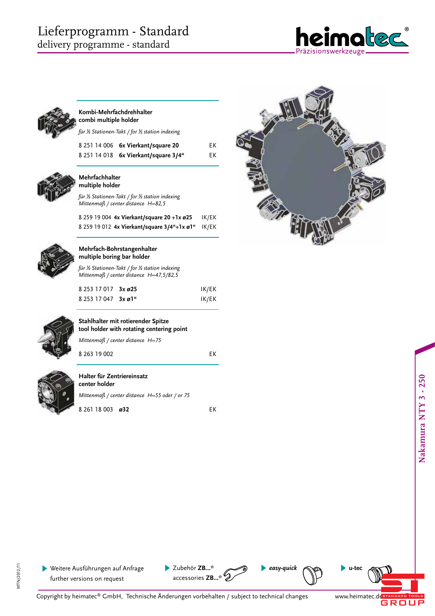# Lieferprogramm - Standard delivery programme - standard



#### **Kombi-Mehrfachdrehhalter combi multiple holder**

| für ½ Stationen-Takt / for ½ station indexing |                                    |    |  |  |
|-----------------------------------------------|------------------------------------|----|--|--|
|                                               | 8 251 14 006 6x Vierkant/square 20 | ЕK |  |  |

8 251 14 018 **6x Vierkant/square 3/4"** EK



#### **Mehrfachhalter multiple holder**

*für ½ Stationen-Takt / for ½ station indexing Mittenmaß / center distance H=82,5*

|  |  | 8 259 19 004  4x Vierkant/square 20 +1x ø25       | IK/EK |
|--|--|---------------------------------------------------|-------|
|  |  | 8 259 19 012 4x Vierkant/square 3/4"+1x ø1" IK/EK |       |



#### **Mehrfach-Bohrstangenhalter multiple boring bar holder**

*für ½ Stationen-Takt / for ½ station indexing Mittenmaß / center distance H=47,5/82,5*

| 8 253 17 017 3x ø25         | IK/EK |
|-----------------------------|-------|
| $825317047$ $3 \times 21$ " | IK/EK |



**Stahlhalter mit rotierender Spitze tool holder with rotating centering point**

*Mittenmaß / center distance H=75*

8 263 19 002 EK



#### **Halter für Zentriereinsatz center holder**

*Mittenmaß / center distance H=55 oder / or 75*

8 261 18 003 **ø32** EK



MTN/2012/11

MTN/2012/11

Weitere Ausführungen auf Anfrage further versions on request

Zubehör **ZB...\*** accessories **ZB...\***



www.heimatec.de FTANDARD TOOLS *easy-quick* **u-tec**